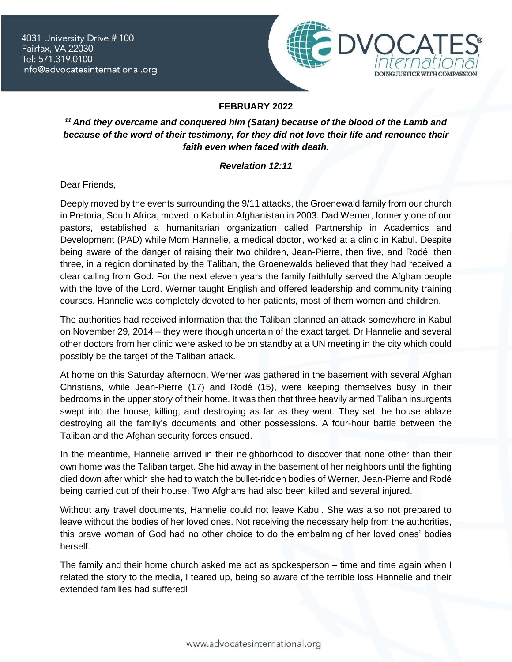

## **FEBRUARY 2022**

## *<sup>11</sup> And they overcame and conquered him (Satan) because of the blood of the Lamb and because of the word of their testimony, for they did not love their life and renounce their faith even when faced with death.*

## *Revelation 12:11*

Dear Friends,

Deeply moved by the events surrounding the 9/11 attacks, the Groenewald family from our church in Pretoria, South Africa, moved to Kabul in Afghanistan in 2003. Dad Werner, formerly one of our pastors, established a humanitarian organization called Partnership in Academics and Development (PAD) while Mom Hannelie, a medical doctor, worked at a clinic in Kabul. Despite being aware of the danger of raising their two children, Jean-Pierre, then five, and Rodé, then three, in a region dominated by the Taliban, the Groenewalds believed that they had received a clear calling from God. For the next eleven years the family faithfully served the Afghan people with the love of the Lord. Werner taught English and offered leadership and community training courses. Hannelie was completely devoted to her patients, most of them women and children.

The authorities had received information that the Taliban planned an attack somewhere in Kabul on November 29, 2014 – they were though uncertain of the exact target. Dr Hannelie and several other doctors from her clinic were asked to be on standby at a UN meeting in the city which could possibly be the target of the Taliban attack.

At home on this Saturday afternoon, Werner was gathered in the basement with several Afghan Christians, while Jean-Pierre (17) and Rodé (15), were keeping themselves busy in their bedrooms in the upper story of their home. It was then that three heavily armed Taliban insurgents swept into the house, killing, and destroying as far as they went. They set the house ablaze destroying all the family's documents and other possessions. A four-hour battle between the Taliban and the Afghan security forces ensued.

In the meantime, Hannelie arrived in their neighborhood to discover that none other than their own home was the Taliban target. She hid away in the basement of her neighbors until the fighting died down after which she had to watch the bullet-ridden bodies of Werner, Jean-Pierre and Rodé being carried out of their house. Two Afghans had also been killed and several injured.

Without any travel documents, Hannelie could not leave Kabul. She was also not prepared to leave without the bodies of her loved ones. Not receiving the necessary help from the authorities, this brave woman of God had no other choice to do the embalming of her loved ones' bodies herself.

The family and their home church asked me act as spokesperson – time and time again when I related the story to the media, I teared up, being so aware of the terrible loss Hannelie and their extended families had suffered!